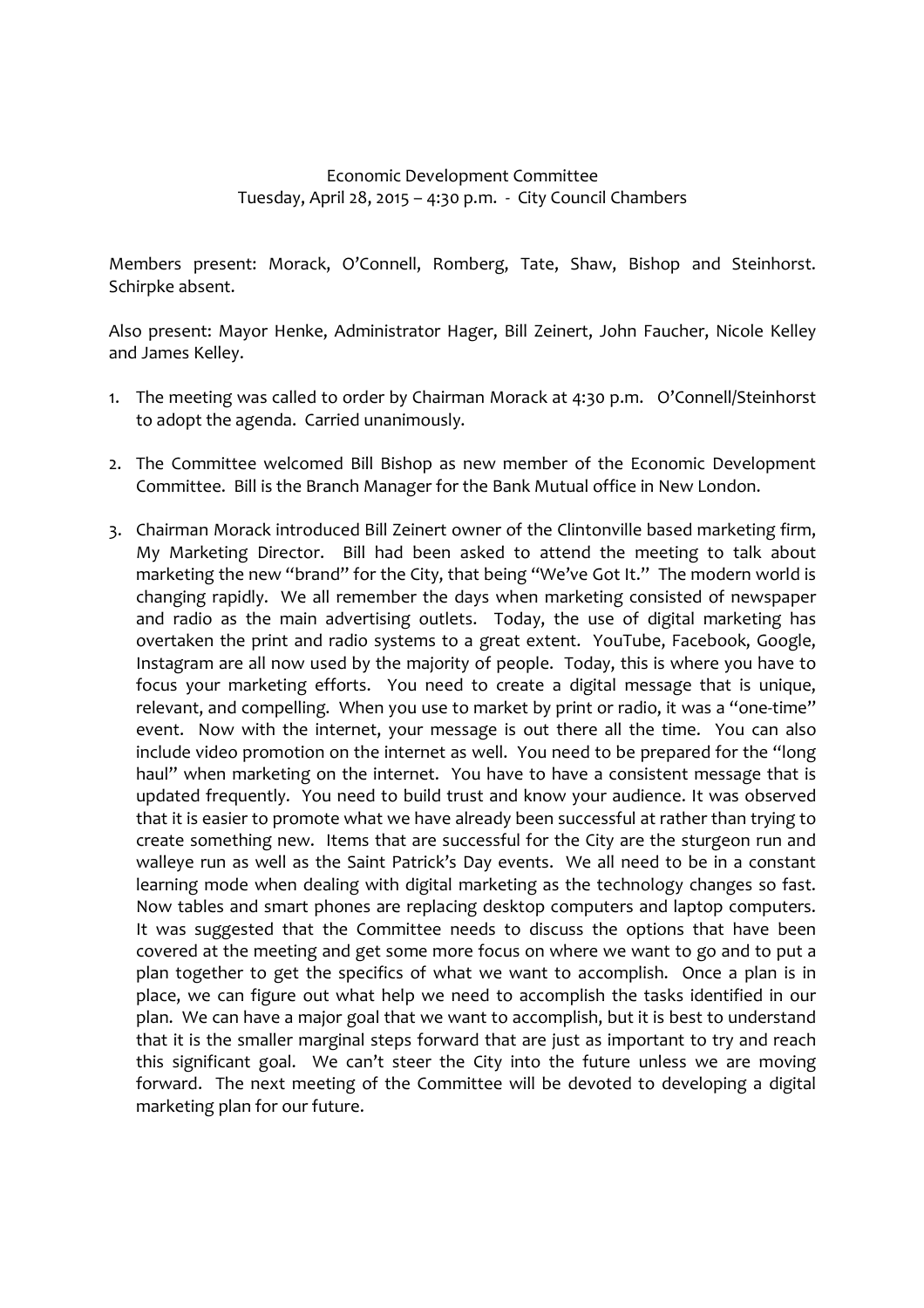## Economic Development Committee Tuesday, April 28, 2015 – 4:30 p.m. - City Council Chambers

Members present: Morack, O'Connell, Romberg, Tate, Shaw, Bishop and Steinhorst. Schirpke absent.

Also present: Mayor Henke, Administrator Hager, Bill Zeinert, John Faucher, Nicole Kelley and James Kelley.

- 1. The meeting was called to order by Chairman Morack at 4:30 p.m. O'Connell/Steinhorst to adopt the agenda. Carried unanimously.
- 2. The Committee welcomed Bill Bishop as new member of the Economic Development Committee. Bill is the Branch Manager for the Bank Mutual office in New London.
- 3. Chairman Morack introduced Bill Zeinert owner of the Clintonville based marketing firm, My Marketing Director. Bill had been asked to attend the meeting to talk about marketing the new "brand" for the City, that being "We've Got It." The modern world is changing rapidly. We all remember the days when marketing consisted of newspaper and radio as the main advertising outlets. Today, the use of digital marketing has overtaken the print and radio systems to a great extent. YouTube, Facebook, Google, Instagram are all now used by the majority of people. Today, this is where you have to focus your marketing efforts. You need to create a digital message that is unique, relevant, and compelling. When you use to market by print or radio, it was a "one-time" event. Now with the internet, your message is out there all the time. You can also include video promotion on the internet as well. You need to be prepared for the "long haul" when marketing on the internet. You have to have a consistent message that is updated frequently. You need to build trust and know your audience. It was observed that it is easier to promote what we have already been successful at rather than trying to create something new. Items that are successful for the City are the sturgeon run and walleye run as well as the Saint Patrick's Day events. We all need to be in a constant learning mode when dealing with digital marketing as the technology changes so fast. Now tables and smart phones are replacing desktop computers and laptop computers. It was suggested that the Committee needs to discuss the options that have been covered at the meeting and get some more focus on where we want to go and to put a plan together to get the specifics of what we want to accomplish. Once a plan is in place, we can figure out what help we need to accomplish the tasks identified in our plan. We can have a major goal that we want to accomplish, but it is best to understand that it is the smaller marginal steps forward that are just as important to try and reach this significant goal. We can't steer the City into the future unless we are moving forward. The next meeting of the Committee will be devoted to developing a digital marketing plan for our future.